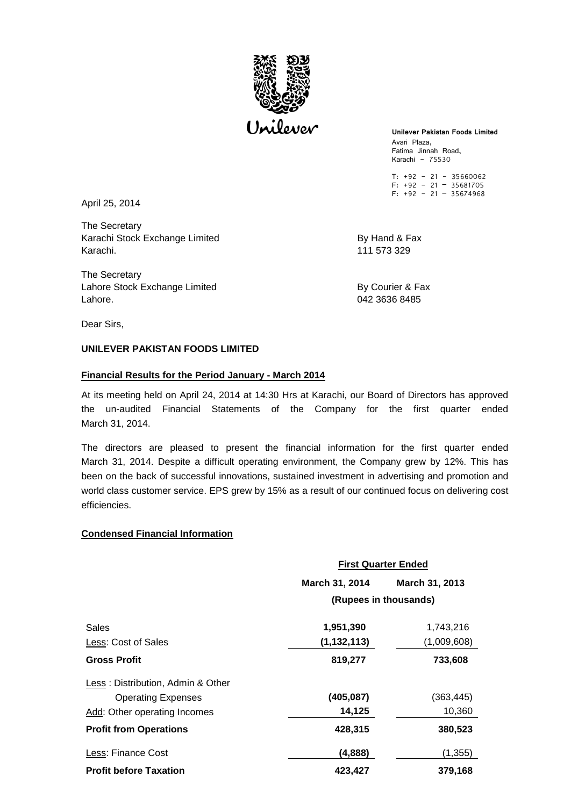

**Unilever Pakistan Foods Limited**  Avari Plaza, Fatima Jinnah Road, Karachi - 75530

T: +92 - 21 - 35660062 F: +92 - 21 – 35681705  $F: +92 - 21 - 35674968$ 

April 25, 2014

The Secretary Karachi Stock Exchange Limited By Hand & Fax Karachi. 111 573 329

The Secretary Lahore Stock Exchange Limited By Courier & Fax Lahore. 042 3636 8485

Dear Sirs,

# **UNILEVER PAKISTAN FOODS LIMITED**

## **Financial Results for the Period January - March 2014**

At its meeting held on April 24, 2014 at 14:30 Hrs at Karachi, our Board of Directors has approved the un-audited Financial Statements of the Company for the first quarter ended March 31, 2014.

The directors are pleased to present the financial information for the first quarter ended March 31, 2014. Despite a difficult operating environment, the Company grew by 12%. This has been on the back of successful innovations, sustained investment in advertising and promotion and world class customer service. EPS grew by 15% as a result of our continued focus on delivering cost efficiencies.

## **Condensed Financial Information**

|                                   | <b>First Quarter Ended</b> |                |
|-----------------------------------|----------------------------|----------------|
|                                   | March 31, 2014             | March 31, 2013 |
|                                   | (Rupees in thousands)      |                |
| Sales                             | 1,951,390                  | 1,743,216      |
| Less: Cost of Sales               | (1, 132, 113)              | (1,009,608)    |
| <b>Gross Profit</b>               | 819,277                    | 733,608        |
| Less: Distribution, Admin & Other |                            |                |
| <b>Operating Expenses</b>         | (405, 087)                 | (363, 445)     |
| Add: Other operating Incomes      | 14,125                     | 10,360         |
| <b>Profit from Operations</b>     | 428,315                    | 380,523        |
| Less: Finance Cost                | (4,888)                    | (1, 355)       |
| <b>Profit before Taxation</b>     | 423,427                    | 379,168        |